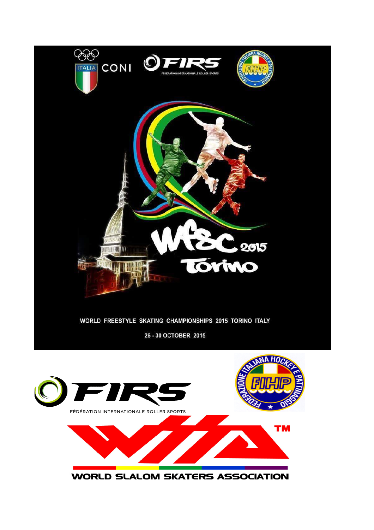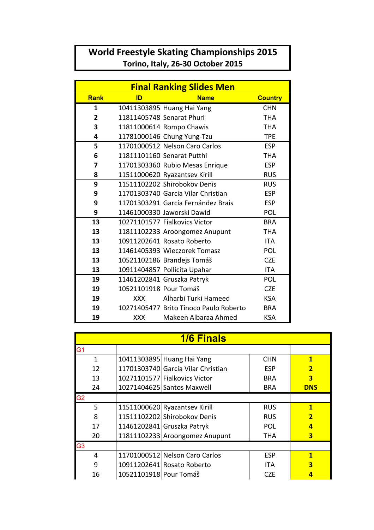## **World Freestyle Skating Championships 2015** Torino, Italy, 26-30 October 2015

| <b>Final Ranking Slides Men</b> |                        |                                        |                |  |  |
|---------------------------------|------------------------|----------------------------------------|----------------|--|--|
| <b>Rank</b>                     | ID                     | <b>Name</b>                            | <b>Country</b> |  |  |
| 1                               |                        | 10411303895 Huang Hai Yang             | <b>CHN</b>     |  |  |
| $\overline{2}$                  |                        | 11811405748 Senarat Phuri              | <b>THA</b>     |  |  |
| 3                               |                        | 11811000614 Rompo Chawis               | <b>THA</b>     |  |  |
| 4                               |                        | 11781000146 Chung Yung-Tzu             | <b>TPE</b>     |  |  |
| 5                               |                        | 11701000512 Nelson Caro Carlos         | <b>ESP</b>     |  |  |
| 6                               |                        | 11811101160 Senarat Putthi             | <b>THA</b>     |  |  |
| 7                               |                        | 11701303360 Rubio Mesas Enrique        | <b>ESP</b>     |  |  |
| 8                               |                        | 11511000620 Ryazantsev Kirill          | <b>RUS</b>     |  |  |
| 9                               |                        | 11511102202 Shirobokov Denis           | <b>RUS</b>     |  |  |
| 9                               |                        | 11701303740 Garcia Vilar Christian     | <b>ESP</b>     |  |  |
| 9                               |                        | 11701303291 García Fernández Brais     | <b>ESP</b>     |  |  |
| 9                               |                        | 11461000330 Jaworski Dawid             | POL            |  |  |
| 13                              |                        | 10271101577 Fialkovics Victor          | <b>BRA</b>     |  |  |
| 13                              |                        | 11811102233 Aroongomez Anupunt         | <b>THA</b>     |  |  |
| 13                              |                        | 10911202641 Rosato Roberto             | <b>ITA</b>     |  |  |
| 13                              |                        | 11461405393 Wieczorek Tomasz           | POL            |  |  |
| 13                              |                        | 10521102186 Brandejs Tomáš             | <b>CZE</b>     |  |  |
| 13                              |                        | 10911404857 Pollicita Upahar           | <b>ITA</b>     |  |  |
| 19                              |                        | 11461202841 Gruszka Patryk             | POL            |  |  |
| 19                              | 10521101918 Pour Tomáš |                                        | <b>CZE</b>     |  |  |
| 19                              | <b>XXX</b>             | Alharbi Turki Hameed                   | <b>KSA</b>     |  |  |
| 19                              |                        | 10271405477 Brito Tinoco Paulo Roberto | <b>BRA</b>     |  |  |
| 19                              | <b>XXX</b>             | Makeen Albaraa Ahmed                   | <b>KSA</b>     |  |  |

| <b>1/6 Finals</b> |                        |                                    |            |                         |  |  |
|-------------------|------------------------|------------------------------------|------------|-------------------------|--|--|
| G1                |                        |                                    |            |                         |  |  |
| $\mathbf{1}$      |                        | 10411303895 Huang Hai Yang         | <b>CHN</b> | $\mathbf{1}$            |  |  |
| 12                |                        | 11701303740 Garcia Vilar Christian | <b>ESP</b> | $\overline{2}$          |  |  |
| 13                |                        | 10271101577 Fialkovics Victor      | <b>BRA</b> | 3                       |  |  |
| 24                |                        | 10271404625 Santos Maxwell         | <b>BRA</b> | <b>DNS</b>              |  |  |
| G <sub>2</sub>    |                        |                                    |            |                         |  |  |
| 5                 |                        | 11511000620 Ryazantsev Kirill      | <b>RUS</b> | $\mathbf{1}$            |  |  |
| 8                 |                        | 11511102202 Shirobokov Denis       | <b>RUS</b> | $\overline{2}$          |  |  |
| 17                |                        | 11461202841 Gruszka Patryk         | <b>POL</b> | $\overline{a}$          |  |  |
| 20                |                        | 11811102233 Aroongomez Anupunt     | <b>THA</b> | $\overline{\mathbf{3}}$ |  |  |
| G <sub>3</sub>    |                        |                                    |            |                         |  |  |
| 4                 |                        | 11701000512 Nelson Caro Carlos     | <b>ESP</b> | $\mathbf{1}$            |  |  |
| 9                 |                        | 10911202641 Rosato Roberto         | <b>ITA</b> | $\overline{\mathbf{3}}$ |  |  |
| 16                | 10521101918 Pour Tomáš |                                    | CZF        |                         |  |  |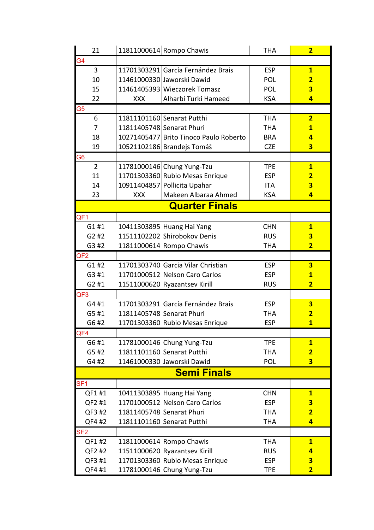| 21              | 11811000614 Rompo Chawis               | <b>THA</b> | $\overline{2}$          |
|-----------------|----------------------------------------|------------|-------------------------|
| G <sub>4</sub>  |                                        |            |                         |
| 3               | 11701303291 García Fernández Brais     | <b>ESP</b> | $\overline{\mathbf{1}}$ |
| 10              | 11461000330 Jaworski Dawid             | <b>POL</b> | $\overline{2}$          |
| 15              | 11461405393 Wieczorek Tomasz           | POL        | 3                       |
| 22              | Alharbi Turki Hameed<br><b>XXX</b>     | <b>KSA</b> | $\overline{4}$          |
| G <sub>5</sub>  |                                        |            |                         |
| 6               | 11811101160 Senarat Putthi             | <b>THA</b> | $\overline{2}$          |
| 7               | 11811405748 Senarat Phuri              | <b>THA</b> | $\overline{1}$          |
| 18              | 10271405477 Brito Tinoco Paulo Roberto | <b>BRA</b> | $\overline{4}$          |
| 19              | 10521102186 Brandejs Tomáš             | <b>CZE</b> | $\overline{\mathbf{3}}$ |
| G <sub>6</sub>  |                                        |            |                         |
| $\overline{2}$  | 11781000146 Chung Yung-Tzu             | <b>TPE</b> | $\overline{\mathbf{1}}$ |
| 11              | 11701303360 Rubio Mesas Enrique        | <b>ESP</b> | $\overline{2}$          |
| 14              | 10911404857 Pollicita Upahar           | <b>ITA</b> | $\overline{\mathbf{3}}$ |
| 23              | Makeen Albaraa Ahmed<br><b>XXX</b>     | <b>KSA</b> | $\overline{4}$          |
|                 | <b>Quarter Finals</b>                  |            |                         |
| QF <sub>1</sub> |                                        |            |                         |
| G1#1            | 10411303895 Huang Hai Yang             | <b>CHN</b> | $\mathbf{1}$            |
| G2#2            | 11511102202 Shirobokov Denis           | <b>RUS</b> | $\overline{\mathbf{3}}$ |
| G3 #2           | 11811000614 Rompo Chawis               | <b>THA</b> | $\overline{2}$          |
| QF <sub>2</sub> |                                        |            |                         |
| G1#2            | 11701303740 Garcia Vilar Christian     | <b>ESP</b> | $\overline{\mathbf{3}}$ |
| G3 #1           | 11701000512 Nelson Caro Carlos         | <b>ESP</b> | $\overline{\mathbf{1}}$ |
| G2#1            | 11511000620 Ryazantsev Kirill          | <b>RUS</b> | $\overline{2}$          |
| QF <sub>3</sub> |                                        |            |                         |
| G4 #1           | 11701303291 García Fernández Brais     | <b>ESP</b> | $\overline{\mathbf{3}}$ |
| G5 #1           | 11811405748 Senarat Phuri              | <b>THA</b> | $\overline{\mathbf{2}}$ |
| G6 #2           | 11701303360 Rubio Mesas Enrique        | <b>ESP</b> | $\overline{1}$          |
| QF4             |                                        |            |                         |
| G6 #1           | 11781000146 Chung Yung-Tzu             | <b>TPE</b> | $\mathbf{1}$            |
| G5 #2           | 11811101160 Senarat Putthi             | <b>THA</b> | $\overline{2}$          |
| G4 #2           | 11461000330 Jaworski Dawid             | <b>POL</b> | $\overline{\mathbf{3}}$ |
|                 | <b>Semi Finals</b>                     |            |                         |
| SF <sub>1</sub> |                                        |            |                         |
| QF1#1           | 10411303895 Huang Hai Yang             | <b>CHN</b> | $\mathbf{1}$            |
| QF2 #1          | 11701000512 Nelson Caro Carlos         | <b>ESP</b> | $\overline{\mathbf{3}}$ |
| QF3 #2          | 11811405748 Senarat Phuri              | <b>THA</b> | $\overline{2}$          |
| QF4 #2          | 11811101160 Senarat Putthi             | <b>THA</b> | $\overline{4}$          |
| SF <sub>2</sub> |                                        |            |                         |
| QF1 #2          | 11811000614 Rompo Chawis               | <b>THA</b> | $\mathbf{1}$            |
| QF2 #2          | 11511000620 Ryazantsev Kirill          | <b>RUS</b> | $\overline{4}$          |
| QF3 #1          | 11701303360 Rubio Mesas Enrique        | <b>ESP</b> | 3                       |
| QF4 #1          | 11781000146 Chung Yung-Tzu             | <b>TPE</b> | $\overline{2}$          |